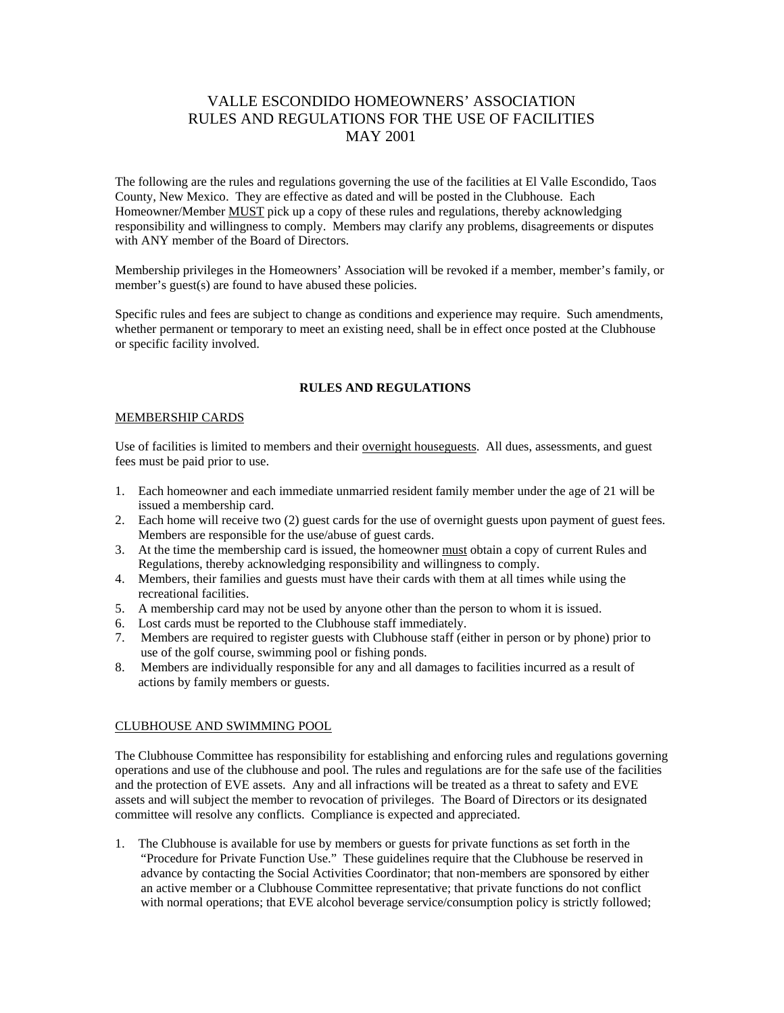# VALLE ESCONDIDO HOMEOWNERS' ASSOCIATION RULES AND REGULATIONS FOR THE USE OF FACILITIES MAY 2001

The following are the rules and regulations governing the use of the facilities at El Valle Escondido, Taos County, New Mexico. They are effective as dated and will be posted in the Clubhouse. Each Homeowner/Member **MUST** pick up a copy of these rules and regulations, thereby acknowledging responsibility and willingness to comply. Members may clarify any problems, disagreements or disputes with ANY member of the Board of Directors.

Membership privileges in the Homeowners' Association will be revoked if a member, member's family, or member's guest(s) are found to have abused these policies.

Specific rules and fees are subject to change as conditions and experience may require. Such amendments, whether permanent or temporary to meet an existing need, shall be in effect once posted at the Clubhouse or specific facility involved.

### **RULES AND REGULATIONS**

### MEMBERSHIP CARDS

Use of facilities is limited to members and their overnight houseguests. All dues, assessments, and guest fees must be paid prior to use.

- 1. Each homeowner and each immediate unmarried resident family member under the age of 21 will be issued a membership card.
- 2. Each home will receive two (2) guest cards for the use of overnight guests upon payment of guest fees. Members are responsible for the use/abuse of guest cards.
- 3. At the time the membership card is issued, the homeowner must obtain a copy of current Rules and Regulations, thereby acknowledging responsibility and willingness to comply.
- 4. Members, their families and guests must have their cards with them at all times while using the recreational facilities.
- 5. A membership card may not be used by anyone other than the person to whom it is issued.
- 6. Lost cards must be reported to the Clubhouse staff immediately.
- 7. Members are required to register guests with Clubhouse staff (either in person or by phone) prior to use of the golf course, swimming pool or fishing ponds.
- 8. Members are individually responsible for any and all damages to facilities incurred as a result of actions by family members or guests.

### CLUBHOUSE AND SWIMMING POOL

The Clubhouse Committee has responsibility for establishing and enforcing rules and regulations governing operations and use of the clubhouse and pool. The rules and regulations are for the safe use of the facilities and the protection of EVE assets. Any and all infractions will be treated as a threat to safety and EVE assets and will subject the member to revocation of privileges. The Board of Directors or its designated committee will resolve any conflicts. Compliance is expected and appreciated.

1. The Clubhouse is available for use by members or guests for private functions as set forth in the "Procedure for Private Function Use." These guidelines require that the Clubhouse be reserved in advance by contacting the Social Activities Coordinator; that non-members are sponsored by either an active member or a Clubhouse Committee representative; that private functions do not conflict with normal operations; that EVE alcohol beverage service/consumption policy is strictly followed;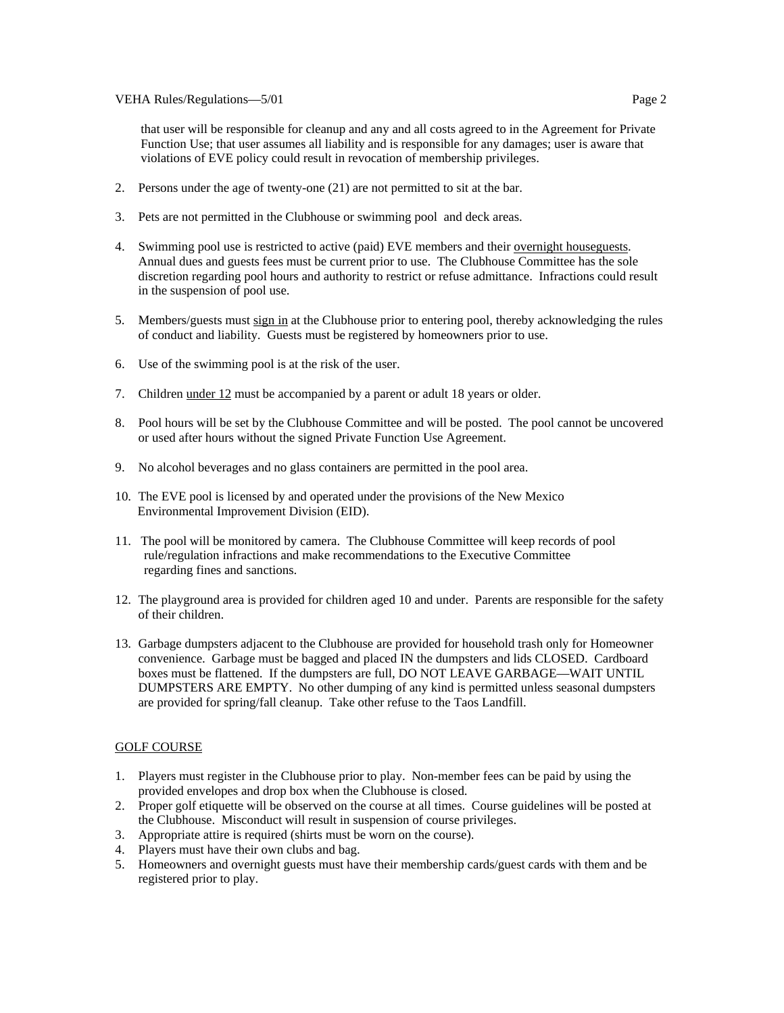that user will be responsible for cleanup and any and all costs agreed to in the Agreement for Private Function Use; that user assumes all liability and is responsible for any damages; user is aware that violations of EVE policy could result in revocation of membership privileges.

- 2. Persons under the age of twenty-one (21) are not permitted to sit at the bar.
- 3. Pets are not permitted in the Clubhouse or swimming pool and deck areas.
- 4. Swimming pool use is restricted to active (paid) EVE members and their <u>overnight housequests</u>. Annual dues and guests fees must be current prior to use. The Clubhouse Committee has the sole discretion regarding pool hours and authority to restrict or refuse admittance. Infractions could result in the suspension of pool use.
- 5. Members/guests must sign in at the Clubhouse prior to entering pool, thereby acknowledging the rules of conduct and liability. Guests must be registered by homeowners prior to use.
- 6. Use of the swimming pool is at the risk of the user.
- 7. Children under 12 must be accompanied by a parent or adult 18 years or older.
- 8. Pool hours will be set by the Clubhouse Committee and will be posted. The pool cannot be uncovered or used after hours without the signed Private Function Use Agreement.
- 9. No alcohol beverages and no glass containers are permitted in the pool area.
- 10. The EVE pool is licensed by and operated under the provisions of the New Mexico Environmental Improvement Division (EID).
- 11. The pool will be monitored by camera. The Clubhouse Committee will keep records of pool rule/regulation infractions and make recommendations to the Executive Committee regarding fines and sanctions.
- 12. The playground area is provided for children aged 10 and under. Parents are responsible for the safety of their children.
- 13. Garbage dumpsters adjacent to the Clubhouse are provided for household trash only for Homeowner convenience. Garbage must be bagged and placed IN the dumpsters and lids CLOSED. Cardboard boxes must be flattened. If the dumpsters are full, DO NOT LEAVE GARBAGE—WAIT UNTIL DUMPSTERS ARE EMPTY. No other dumping of any kind is permitted unless seasonal dumpsters are provided for spring/fall cleanup. Take other refuse to the Taos Landfill.

### GOLF COURSE

- 1. Players must register in the Clubhouse prior to play. Non-member fees can be paid by using the provided envelopes and drop box when the Clubhouse is closed.
- 2. Proper golf etiquette will be observed on the course at all times. Course guidelines will be posted at the Clubhouse. Misconduct will result in suspension of course privileges.
- 3. Appropriate attire is required (shirts must be worn on the course).
- 4. Players must have their own clubs and bag.
- 5. Homeowners and overnight guests must have their membership cards/guest cards with them and be registered prior to play.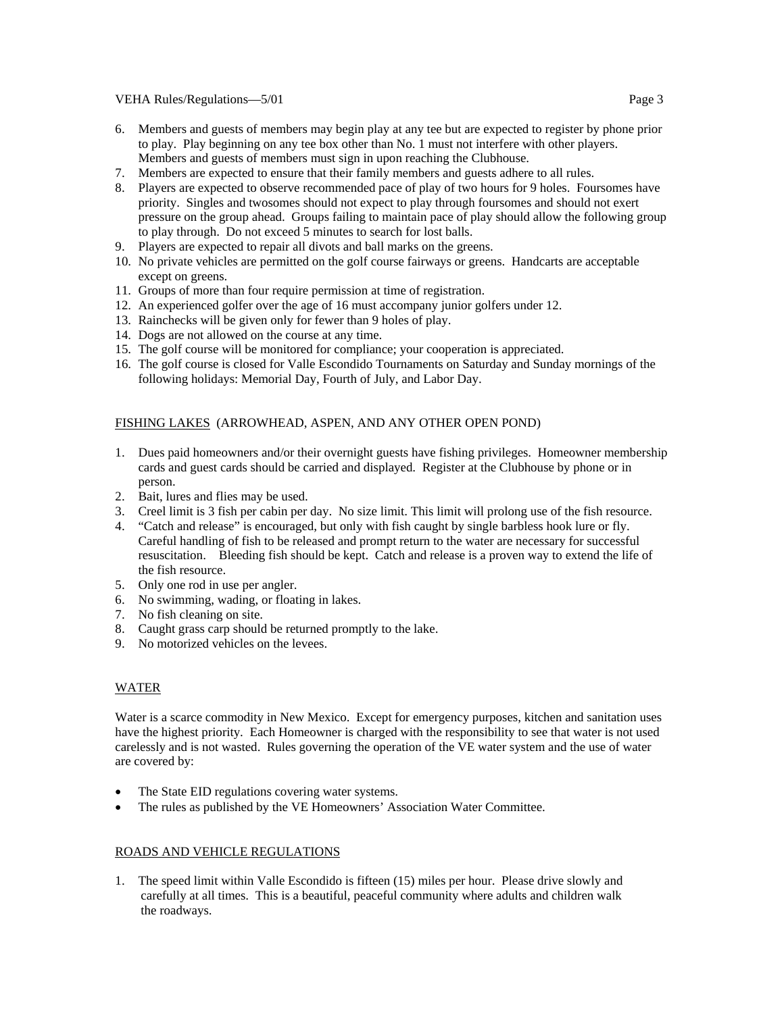VEHA Rules/Regulations—5/01 **Page 3** 

- 6. Members and guests of members may begin play at any tee but are expected to register by phone prior to play. Play beginning on any tee box other than No. 1 must not interfere with other players. Members and guests of members must sign in upon reaching the Clubhouse.
- 7. Members are expected to ensure that their family members and guests adhere to all rules.
- 8. Players are expected to observe recommended pace of play of two hours for 9 holes. Foursomes have priority. Singles and twosomes should not expect to play through foursomes and should not exert pressure on the group ahead. Groups failing to maintain pace of play should allow the following group to play through. Do not exceed 5 minutes to search for lost balls.
- 9. Players are expected to repair all divots and ball marks on the greens.
- 10. No private vehicles are permitted on the golf course fairways or greens. Handcarts are acceptable except on greens.
- 11. Groups of more than four require permission at time of registration.
- 12. An experienced golfer over the age of 16 must accompany junior golfers under 12.
- 13. Rainchecks will be given only for fewer than 9 holes of play.
- 14. Dogs are not allowed on the course at any time.
- 15. The golf course will be monitored for compliance; your cooperation is appreciated.
- 16. The golf course is closed for Valle Escondido Tournaments on Saturday and Sunday mornings of the following holidays: Memorial Day, Fourth of July, and Labor Day.

# FISHING LAKES (ARROWHEAD, ASPEN, AND ANY OTHER OPEN POND)

- 1. Dues paid homeowners and/or their overnight guests have fishing privileges. Homeowner membership cards and guest cards should be carried and displayed. Register at the Clubhouse by phone or in person.
- 2. Bait, lures and flies may be used.
- 3. Creel limit is 3 fish per cabin per day. No size limit. This limit will prolong use of the fish resource.
- 4. "Catch and release" is encouraged, but only with fish caught by single barbless hook lure or fly. Careful handling of fish to be released and prompt return to the water are necessary for successful resuscitation. Bleeding fish should be kept. Catch and release is a proven way to extend the life of the fish resource.
- 5. Only one rod in use per angler.
- 6. No swimming, wading, or floating in lakes.
- 7. No fish cleaning on site.
- 8. Caught grass carp should be returned promptly to the lake.
- 9. No motorized vehicles on the levees.

# WATER

Water is a scarce commodity in New Mexico. Except for emergency purposes, kitchen and sanitation uses have the highest priority. Each Homeowner is charged with the responsibility to see that water is not used carelessly and is not wasted. Rules governing the operation of the VE water system and the use of water are covered by:

- The State EID regulations covering water systems.
- The rules as published by the VE Homeowners' Association Water Committee.

### ROADS AND VEHICLE REGULATIONS

1. The speed limit within Valle Escondido is fifteen (15) miles per hour. Please drive slowly and carefully at all times. This is a beautiful, peaceful community where adults and children walk the roadways.